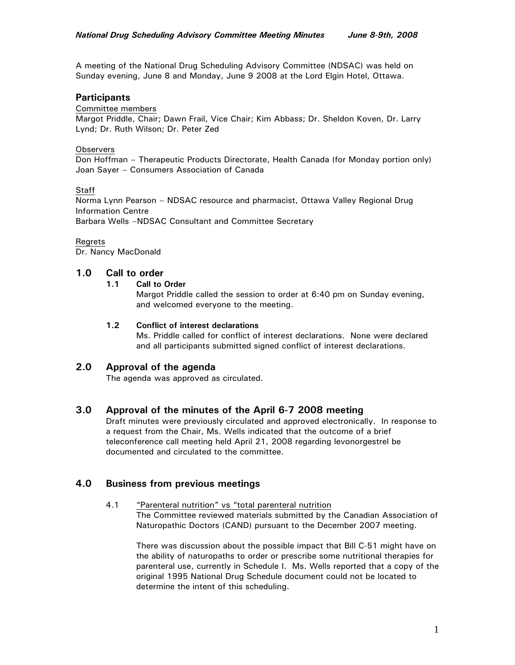A meeting of the National Drug Scheduling Advisory Committee (NDSAC) was held on Sunday evening, June 8 and Monday, June 9 2008 at the Lord Elgin Hotel, Ottawa.

# **Participants**

#### Committee members

Margot Priddle, Chair; Dawn Frail, Vice Chair; Kim Abbass; Dr. Sheldon Koven, Dr. Larry Lynd; Dr. Ruth Wilson; Dr. Peter Zed

### **Observers**

Don Hoffman – Therapeutic Products Directorate, Health Canada (for Monday portion only) Joan Sayer – Consumers Association of Canada

### **Staff**

Norma Lynn Pearson – NDSAC resource and pharmacist, Ottawa Valley Regional Drug Information Centre

Barbara Wells –NDSAC Consultant and Committee Secretary

### **Regrets**

Dr. Nancy MacDonald

# **1.0 Call to order**

### **1.1 Call to Order**

Margot Priddle called the session to order at 6:40 pm on Sunday evening, and welcomed everyone to the meeting.

## **1.2 Conflict of interest declarations**

Ms. Priddle called for conflict of interest declarations. None were declared and all participants submitted signed conflict of interest declarations.

# **2.0 Approval of the agenda**

The agenda was approved as circulated.

# **3.0 Approval of the minutes of the April 6-7 2008 meeting**

Draft minutes were previously circulated and approved electronically. In response to a request from the Chair, Ms. Wells indicated that the outcome of a brief teleconference call meeting held April 21, 2008 regarding levonorgestrel be documented and circulated to the committee.

# **4.0 Business from previous meetings**

## 4.1 "Parenteral nutrition" vs "total parenteral nutrition

The Committee reviewed materials submitted by the Canadian Association of Naturopathic Doctors (CAND) pursuant to the December 2007 meeting.

There was discussion about the possible impact that Bill C-51 might have on the ability of naturopaths to order or prescribe some nutritional therapies for parenteral use, currently in Schedule I. Ms. Wells reported that a copy of the original 1995 National Drug Schedule document could not be located to determine the intent of this scheduling.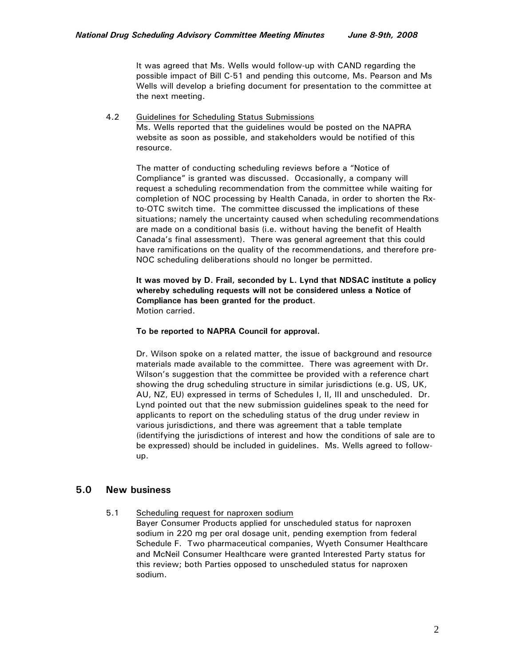It was agreed that Ms. Wells would follow-up with CAND regarding the possible impact of Bill C-51 and pending this outcome, Ms. Pearson and Ms Wells will develop a briefing document for presentation to the committee at the next meeting.

4.2 Guidelines for Scheduling Status Submissions Ms. Wells reported that the guidelines would be posted on the NAPRA website as soon as possible, and stakeholders would be notified of this resource.

The matter of conducting scheduling reviews before a "Notice of Compliance" is granted was discussed. Occasionally, a company will request a scheduling recommendation from the committee while waiting for completion of NOC processing by Health Canada, in order to shorten the Rxto-OTC switch time. The committee discussed the implications of these situations; namely the uncertainty caused when scheduling recommendations are made on a conditional basis (i.e. without having the benefit of Health Canada's final assessment). There was general agreement that this could have ramifications on the quality of the recommendations, and therefore pre-NOC scheduling deliberations should no longer be permitted.

**It was moved by D. Frail, seconded by L. Lynd that NDSAC institute a policy whereby scheduling requests will not be considered unless a Notice of Compliance has been granted for the product**. Motion carried.

#### **To be reported to NAPRA Council for approval.**

Dr. Wilson spoke on a related matter, the issue of background and resource materials made available to the committee. There was agreement with Dr. Wilson's suggestion that the committee be provided with a reference chart showing the drug scheduling structure in similar jurisdictions (e.g. US, UK, AU, NZ, EU) expressed in terms of Schedules I, II, III and unscheduled. Dr. Lynd pointed out that the new submission guidelines speak to the need for applicants to report on the scheduling status of the drug under review in various jurisdictions, and there was agreement that a table template (identifying the jurisdictions of interest and how the conditions of sale are to be expressed) should be included in guidelines. Ms. Wells agreed to followup.

## **5.0 New business**

5.1 Scheduling request for naproxen sodium

Bayer Consumer Products applied for unscheduled status for naproxen sodium in 220 mg per oral dosage unit, pending exemption from federal Schedule F. Two pharmaceutical companies, Wyeth Consumer Healthcare and McNeil Consumer Healthcare were granted Interested Party status for this review; both Parties opposed to unscheduled status for naproxen sodium.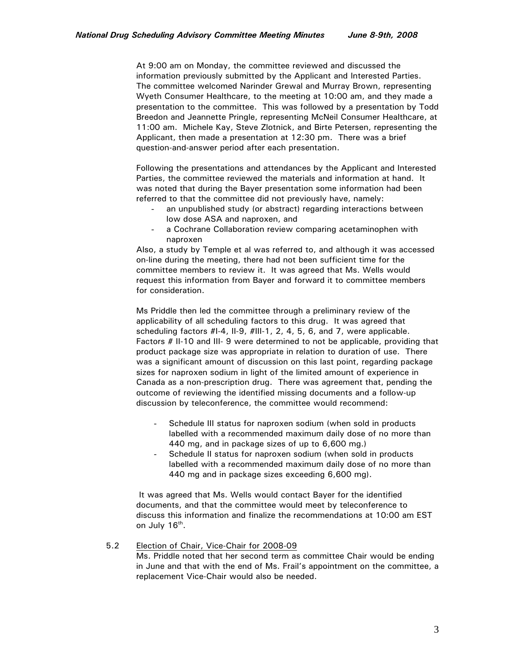At 9:00 am on Monday, the committee reviewed and discussed the information previously submitted by the Applicant and Interested Parties. The committee welcomed Narinder Grewal and Murray Brown, representing Wyeth Consumer Healthcare, to the meeting at 10:00 am, and they made a presentation to the committee. This was followed by a presentation by Todd Breedon and Jeannette Pringle, representing McNeil Consumer Healthcare, at 11:00 am. Michele Kay, Steve Zlotnick, and Birte Petersen, representing the Applicant, then made a presentation at 12:30 pm. There was a brief question-and-answer period after each presentation.

Following the presentations and attendances by the Applicant and Interested Parties, the committee reviewed the materials and information at hand. It was noted that during the Bayer presentation some information had been referred to that the committee did not previously have, namely:

- an unpublished study (or abstract) regarding interactions between low dose ASA and naproxen, and
- a Cochrane Collaboration review comparing acetaminophen with naproxen

Also, a study by Temple et al was referred to, and although it was accessed on-line during the meeting, there had not been sufficient time for the committee members to review it. It was agreed that Ms. Wells would request this information from Bayer and forward it to committee members for consideration.

Ms Priddle then led the committee through a preliminary review of the applicability of all scheduling factors to this drug. It was agreed that scheduling factors #I-4, II-9, #III-1, 2, 4, 5, 6, and 7, were applicable. Factors # II-10 and III- 9 were determined to not be applicable, providing that product package size was appropriate in relation to duration of use. There was a significant amount of discussion on this last point, regarding package sizes for naproxen sodium in light of the limited amount of experience in Canada as a non-prescription drug. There was agreement that, pending the outcome of reviewing the identified missing documents and a follow-up discussion by teleconference, the committee would recommend:

- Schedule III status for naproxen sodium (when sold in products labelled with a recommended maximum daily dose of no more than 440 mg, and in package sizes of up to 6,600 mg.)
- Schedule II status for naproxen sodium (when sold in products labelled with a recommended maximum daily dose of no more than 440 mg and in package sizes exceeding 6,600 mg).

 It was agreed that Ms. Wells would contact Bayer for the identified documents, and that the committee would meet by teleconference to discuss this information and finalize the recommendations at 10:00 am EST on July 16<sup>th</sup>.

#### 5.2 Election of Chair, Vice-Chair for 2008-09

Ms. Priddle noted that her second term as committee Chair would be ending in June and that with the end of Ms. Frail's appointment on the committee, a replacement Vice-Chair would also be needed.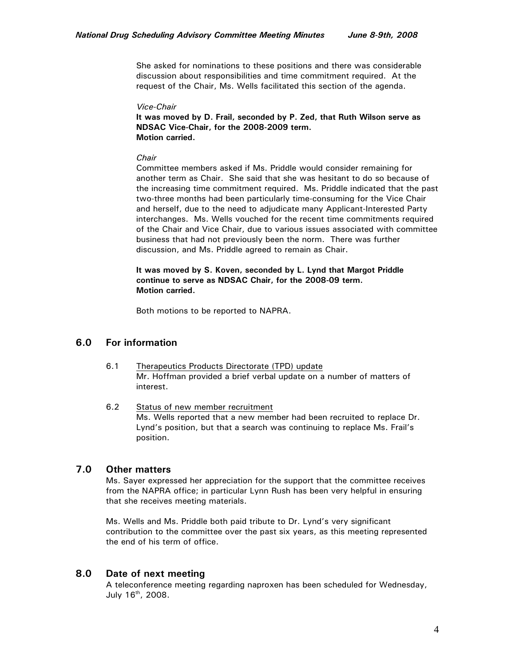She asked for nominations to these positions and there was considerable discussion about responsibilities and time commitment required. At the request of the Chair, Ms. Wells facilitated this section of the agenda.

#### *Vice-Chair*

**It was moved by D. Frail, seconded by P. Zed, that Ruth Wilson serve as NDSAC Vice-Chair, for the 2008-2009 term. Motion carried.** 

#### *Chair*

Committee members asked if Ms. Priddle would consider remaining for another term as Chair. She said that she was hesitant to do so because of the increasing time commitment required. Ms. Priddle indicated that the past two-three months had been particularly time-consuming for the Vice Chair and herself, due to the need to adjudicate many Applicant-Interested Party interchanges. Ms. Wells vouched for the recent time commitments required of the Chair and Vice Chair, due to various issues associated with committee business that had not previously been the norm. There was further discussion, and Ms. Priddle agreed to remain as Chair.

**It was moved by S. Koven, seconded by L. Lynd that Margot Priddle continue to serve as NDSAC Chair, for the 2008-09 term. Motion carried.** 

Both motions to be reported to NAPRA.

# **6.0 For information**

- 6.1 Therapeutics Products Directorate (TPD) update Mr. Hoffman provided a brief verbal update on a number of matters of interest.
- 6.2 Status of new member recruitment Ms. Wells reported that a new member had been recruited to replace Dr. Lynd's position, but that a search was continuing to replace Ms. Frail's position.

## **7.0 Other matters**

Ms. Sayer expressed her appreciation for the support that the committee receives from the NAPRA office; in particular Lynn Rush has been very helpful in ensuring that she receives meeting materials.

Ms. Wells and Ms. Priddle both paid tribute to Dr. Lynd's very significant contribution to the committee over the past six years, as this meeting represented the end of his term of office.

# **8.0 Date of next meeting**

A teleconference meeting regarding naproxen has been scheduled for Wednesday, July 16th, 2008.